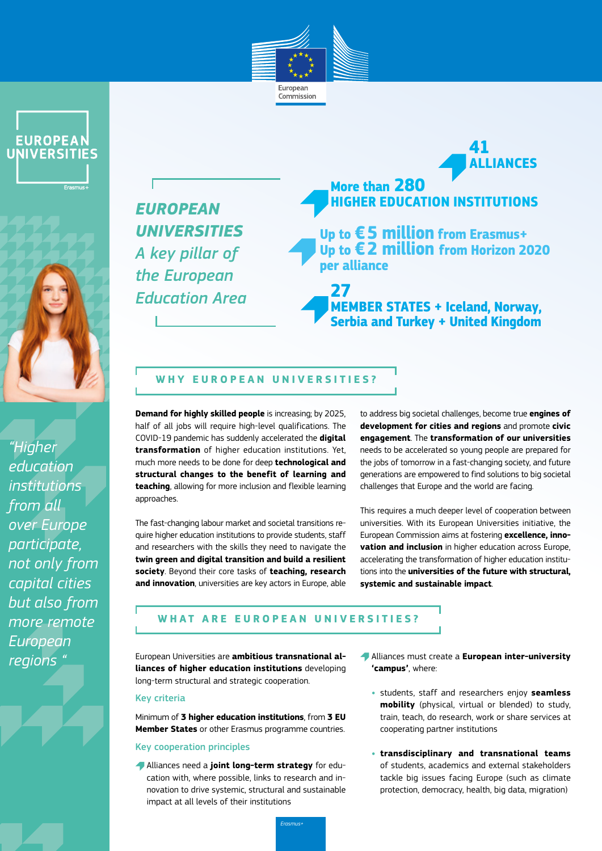





*"Higher education institutions from all over Europe participate, not only from capital cities but also from more remote European regions "*

## *EUROPEAN UNIVERSITIES A key pillar of the European Education Area*

# **ALLIANCES More than 280 HIGHER EDUCATION INSTITUTIONS**

**41**

**Up to €5 million from Erasmus+ Up to €2 million from Horizon 2020 per alliance**

**27 MEMBER STATES + Iceland, Norway, Serbia and Turkey + United Kingdom**

#### **WHY EUROPEAN UNIVERSITIES?**

**Demand for highly skilled people** is increasing; by 2025, half of all jobs will require high-level qualifications. The COVID-19 pandemic has suddenly accelerated the **digital transformation** of higher education institutions. Yet, much more needs to be done for deep **technological and structural changes to the benefit of learning and teaching**, allowing for more inclusion and flexible learning approaches.

The fast-changing labour market and societal transitions require higher education institutions to provide students, staff and researchers with the skills they need to navigate the **twin green and digital transition and build a resilient society**. Beyond their core tasks of **teaching, research and innovation**, universities are key actors in Europe, able to address big societal challenges, become true **engines of development for cities and regions** and promote **civic engagement**. The **transformation of our universities** needs to be accelerated so young people are prepared for the jobs of tomorrow in a fast-changing society, and future generations are empowered to find solutions to big societal challenges that Europe and the world are facing.

This requires a much deeper level of cooperation between universities. With its European Universities initiative, the European Commission aims at fostering **excellence, innovation and inclusion** in higher education across Europe, accelerating the transformation of higher education institutions into the **universities of the future with structural, systemic and sustainable impact**.

#### **WHAT ARE EUROPEAN UNIVERSITIES?**

European Universities are **ambitious transnational alliances of higher education institutions** developing long-term structural and strategic cooperation.

#### Key criteria

Minimum of **3 higher education institutions**, from **3 EU Member States** or other Erasmus programme countries.

#### Key cooperation principles

Alliances need a **joint long-term strategy** for education with, where possible, links to research and innovation to drive systemic, structural and sustainable impact at all levels of their institutions

- Alliances must create a **European inter-university 'campus'**, where:
	- **•** students, staff and researchers enjoy **seamless mobility** (physical, virtual or blended) to study, train, teach, do research, work or share services at cooperating partner institutions
	- **• transdisciplinary and transnational teams** of students, academics and external stakeholders tackle big issues facing Europe (such as climate protection, democracy, health, big data, migration)